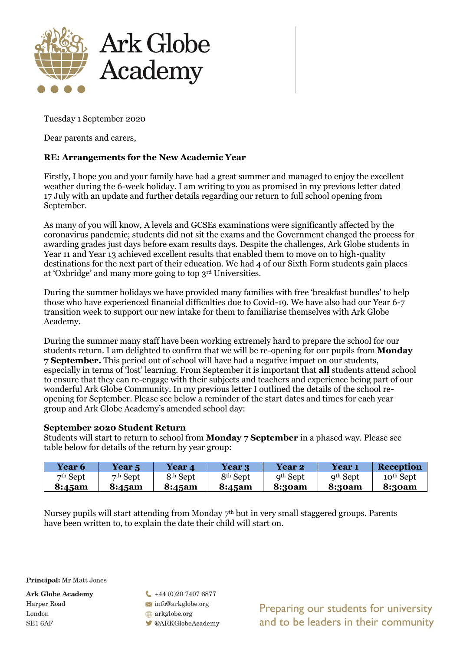

Tuesday 1 September 2020

Dear parents and carers,

## **RE: Arrangements for the New Academic Year**

Firstly, I hope you and your family have had a great summer and managed to enjoy the excellent weather during the 6-week holiday. I am writing to you as promised in my previous letter dated 17 July with an update and further details regarding our return to full school opening from September.

As many of you will know, A levels and GCSEs examinations were significantly affected by the coronavirus pandemic; students did not sit the exams and the Government changed the process for awarding grades just days before exam results days. Despite the challenges, Ark Globe students in Year 11 and Year 13 achieved excellent results that enabled them to move on to high-quality destinations for the next part of their education. We had 4 of our Sixth Form students gain places at 'Oxbridge' and many more going to top 3rd Universities.

During the summer holidays we have provided many families with free 'breakfast bundles' to help those who have experienced financial difficulties due to Covid-19. We have also had our Year 6-7 transition week to support our new intake for them to familiarise themselves with Ark Globe Academy.

During the summer many staff have been working extremely hard to prepare the school for our students return. I am delighted to confirm that we will be re-opening for our pupils from **Monday 7 September.** This period out of school will have had a negative impact on our students, especially in terms of 'lost' learning. From September it is important that **all** students attend school to ensure that they can re-engage with their subjects and teachers and experience being part of our wonderful Ark Globe Community. In my previous letter I outlined the details of the school reopening for September. Please see below a reminder of the start dates and times for each year group and Ark Globe Academy's amended school day:

## **September 2020 Student Return**

Students will start to return to school from **Monday 7 September** in a phased way. Please see table below for details of the return by year group:

| <b>Year 6</b> | <b>Year 5</b> | <b>Year 4</b>        | <b>Year 3</b>     | Year 2               | Year 1        | <b>Reception</b>      |
|---------------|---------------|----------------------|-------------------|----------------------|---------------|-----------------------|
| $7th$ Sept    | $7th$ Sept    | 8 <sup>th</sup> Sept | $8^{\rm th}$ Sept | 9 <sup>th</sup> Sept | $9th$ Sept    | 10 <sup>th</sup> Sept |
| 8:45am        | 8:45am        | 8:45am               | 8:45am            | <b>8:30am</b>        | <b>8:30am</b> | 8:30am                |

Nursey pupils will start attending from Monday 7<sup>th</sup> but in very small staggered groups. Parents have been written to, to explain the date their child will start on.

Principal: Mr Matt Jones

**Ark Globe Academy** Harper Road London SE1 6AF

 $-44(0)2074076877$  $\blacktriangleright$  info@arkglobe.org arkglobe.org

**CARKGlobeAcademy** 

Preparing our students for university and to be leaders in their community